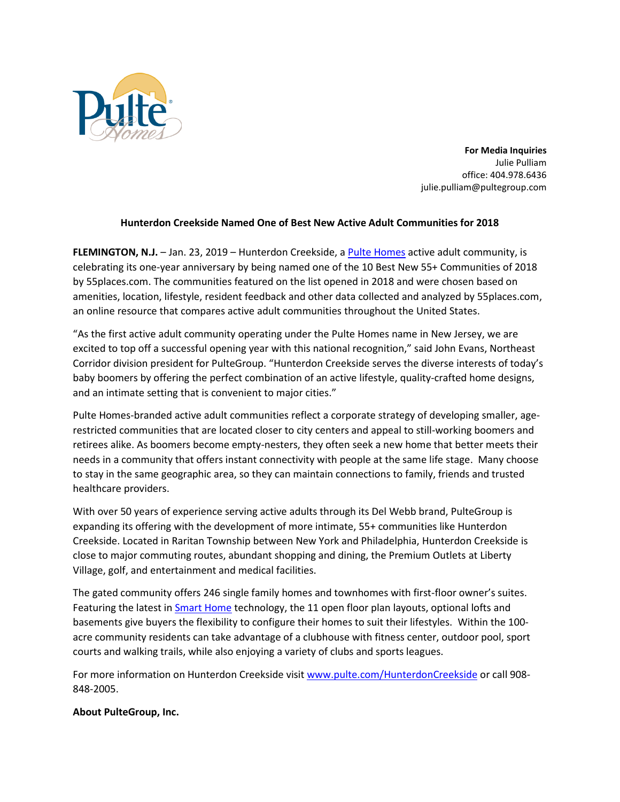

**For Media Inquiries** Julie Pulliam office: 404.978.6436 julie.pulliam@pultegroup.com

## **Hunterdon Creekside Named One of Best New Active Adult Communities for 2018**

**FLEMINGTON, N.J.** – Jan. 23, 2019 – Hunterdon Creekside, [a Pulte Homes](https://www.pulte.com/) active adult community, is celebrating its one-year anniversary by being named one of the 10 Best New 55+ Communities of 2018 by 55places.com. The communities featured on the list opened in 2018 and were chosen based on amenities, location, lifestyle, resident feedback and other data collected and analyzed by 55places.com, an online resource that compares active adult communities throughout the United States.

"As the first active adult community operating under the Pulte Homes name in New Jersey, we are excited to top off a successful opening year with this national recognition," said John Evans, Northeast Corridor division president for PulteGroup. "Hunterdon Creekside serves the diverse interests of today's baby boomers by offering the perfect combination of an active lifestyle, quality-crafted home designs, and an intimate setting that is convenient to major cities."

Pulte Homes-branded active adult communities reflect a corporate strategy of developing smaller, agerestricted communities that are located closer to city centers and appeal to still-working boomers and retirees alike. As boomers become empty-nesters, they often seek a new home that better meets their needs in a community that offers instant connectivity with people at the same life stage. Many choose to stay in the same geographic area, so they can maintain connections to family, friends and trusted healthcare providers.

With over 50 years of experience serving active adults through its Del Webb brand, PulteGroup is expanding its offering with the development of more intimate, 55+ communities like Hunterdon Creekside. Located in Raritan Township between New York and Philadelphia, Hunterdon Creekside is close to major commuting routes, abundant shopping and dining, the Premium Outlets at Liberty Village, golf, and entertainment and medical facilities.

The gated community offers 246 single family homes and townhomes with first-floor owner's suites. Featuring the latest in **Smart Home technology**, the 11 open floor plan layouts, optional lofts and basements give buyers the flexibility to configure their homes to suit their lifestyles. Within the 100 acre community residents can take advantage of a clubhouse with fitness center, outdoor pool, sport courts and walking trails, while also enjoying a variety of clubs and sports leagues.

For more information on Hunterdon Creekside visit [www.pulte.com/HunterdonCreekside](http://www.pulte.com/HunterdonCreekside%20or%20call%20908-848-2005) or call 908- [848-2005.](http://www.pulte.com/HunterdonCreekside%20or%20call%20908-848-2005)

## **About PulteGroup, Inc.**